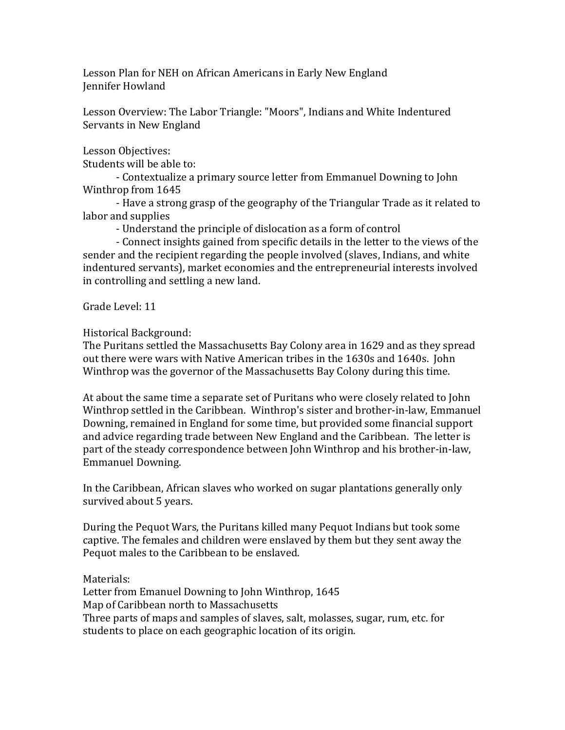Lesson Plan for NEH on African Americans in Early New England Jennifer Howland

Lesson Overview: The Labor Triangle: "Moors", Indians and White Indentured Servants in New England

Lesson Objectives:

Students will be able to:

- Contextualize a primary source letter from Emmanuel Downing to John Winthrop from 1645

- Have a strong grasp of the geography of the Triangular Trade as it related to labor and supplies

- Understand the principle of dislocation as a form of control

- Connect insights gained from specific details in the letter to the views of the sender and the recipient regarding the people involved (slaves, Indians, and white indentured servants), market economies and the entrepreneurial interests involved in controlling and settling a new land.

Grade Level: 11

Historical Background:

The Puritans settled the Massachusetts Bay Colony area in 1629 and as they spread out there were wars with Native American tribes in the 1630s and 1640s. John Winthrop was the governor of the Massachusetts Bay Colony during this time.

At about the same time a separate set of Puritans who were closely related to John Winthrop settled in the Caribbean. Winthrop's sister and brother-in-law, Emmanuel Downing, remained in England for some time, but provided some financial support and advice regarding trade between New England and the Caribbean. The letter is part of the steady correspondence between John Winthrop and his brother-in-law, Emmanuel Downing.

In the Caribbean, African slaves who worked on sugar plantations generally only survived about 5 years.

During the Pequot Wars, the Puritans killed many Pequot Indians but took some captive. The females and children were enslaved by them but they sent away the Pequot males to the Caribbean to be enslaved.

Materials: Letter from Emanuel Downing to John Winthrop, 1645 Map of Caribbean north to Massachusetts Three parts of maps and samples of slaves, salt, molasses, sugar, rum, etc. for students to place on each geographic location of its origin.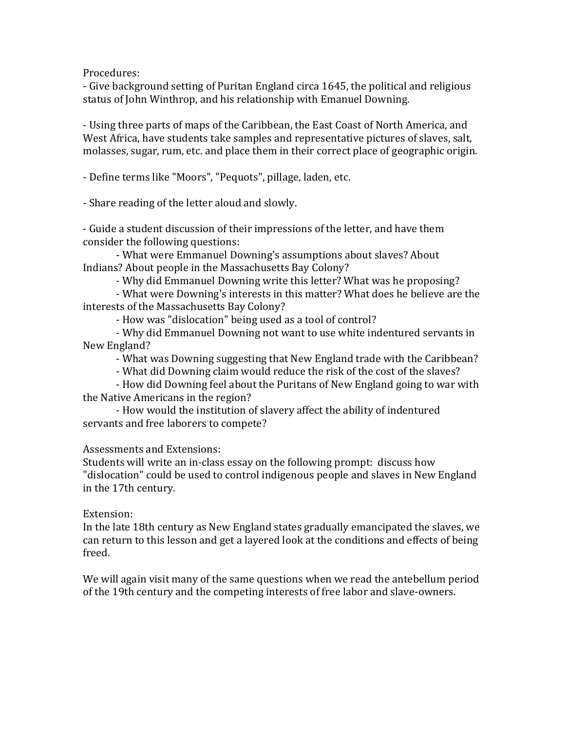Procedures:

- Give background setting of Puritan England circa 1645, the political and religious status of John Winthrop, and his relationship with Emanuel Downing.

- Using three parts of maps of the Caribbean, the East Coast of North America, and West Africa, have students take samples and representative pictures of slaves, salt, molasses, sugar, rum, etc. and place them in their correct place of geographic origin.

- Define terms like "Moors", "Pequots", pillage, laden, etc.

- Share reading of the letter aloud and slowly.

- Guide a student discussion of their impressions of the letter, and have them consider the following questions:

- What were Emmanuel Downing's assumptions about slaves? About Indians? About people in the Massachusetts Bay Colony?

- Why did Emmanuel Downing write this letter? What was he proposing?

- What were Downing's interests in this matter? What does he believe are the interests of the Massachusetts Bay Colony?

- How was "dislocation" being used as a tool of control?

- Why did Emmanuel Downing not want to use white indentured servants in New England?

- What was Downing suggesting that New England trade with the Caribbean?

- What did Downing claim would reduce the risk of the cost of the slaves?

- How did Downing feel about the Puritans of New England going to war with the Native Americans in the region?

- How would the institution of slavery affect the ability of indentured servants and free laborers to compete?

Assessments and Extensions:

Students will write an in-class essay on the following prompt: discuss how "dislocation" could be used to control indigenous people and slaves in New England in the 17th century.

## Extension:

In the late 18th century as New England states gradually emancipated the slaves, we can return to this lesson and get a layered look at the conditions and effects of being freed.

We will again visit many of the same questions when we read the antebellum period of the 19th century and the competing interests of free labor and slave-owners.